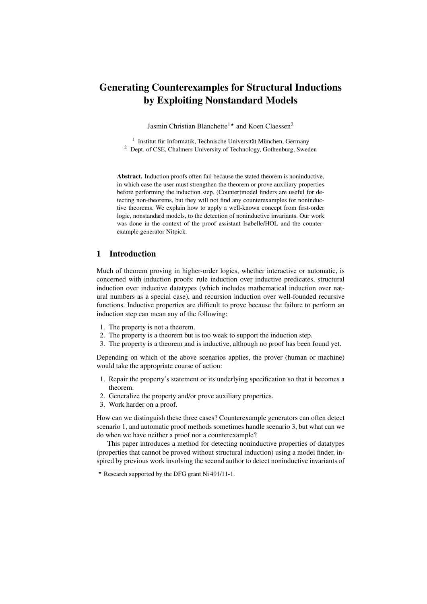# Generating Counterexamples for Structural Inductions by Exploiting Nonstandard Models

Jasmin Christian Blanchette<sup>1\*</sup> and Koen Claessen<sup>2</sup>

1 Institut für Informatik, Technische Universität München, Germany <sup>2</sup> Dept. of CSE, Chalmers University of Technology, Gothenburg, Sweden

Abstract. Induction proofs often fail because the stated theorem is noninductive, in which case the user must strengthen the theorem or prove auxiliary properties before performing the induction step. (Counter)model finders are useful for detecting non-theorems, but they will not find any counterexamples for noninductive theorems. We explain how to apply a well-known concept from first-order logic, nonstandard models, to the detection of noninductive invariants. Our work was done in the context of the proof assistant Isabelle/HOL and the counterexample generator Nitpick.

# 1 Introduction

Much of theorem proving in higher-order logics, whether interactive or automatic, is concerned with induction proofs: rule induction over inductive predicates, structural induction over inductive datatypes (which includes mathematical induction over natural numbers as a special case), and recursion induction over well-founded recursive functions. Inductive properties are difficult to prove because the failure to perform an induction step can mean any of the following:

- 1. The property is not a theorem.
- 2. The property is a theorem but is too weak to support the induction step.
- 3. The property is a theorem and is inductive, although no proof has been found yet.

Depending on which of the above scenarios applies, the prover (human or machine) would take the appropriate course of action:

- 1. Repair the property's statement or its underlying specification so that it becomes a theorem.
- 2. Generalize the property and/or prove auxiliary properties.
- 3. Work harder on a proof.

How can we distinguish these three cases? Counterexample generators can often detect scenario 1, and automatic proof methods sometimes handle scenario 3, but what can we do when we have neither a proof nor a counterexample?

This paper introduces a method for detecting noninductive properties of datatypes (properties that cannot be proved without structural induction) using a model finder, inspired by previous work involving the second author to detect noninductive invariants of

<sup>?</sup> Research supported by the DFG grant Ni 491/11-1.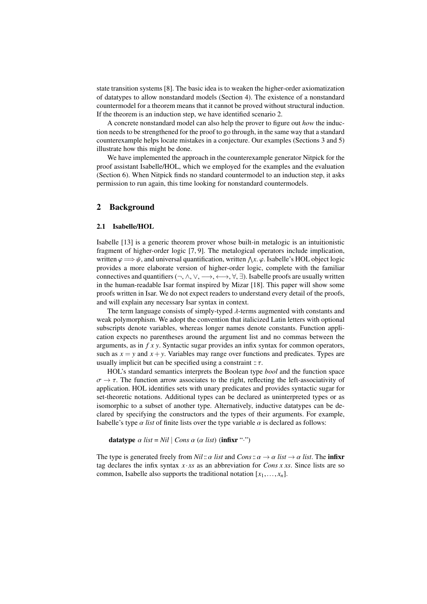state transition systems [8]. The basic idea is to weaken the higher-order axiomatization of datatypes to allow nonstandard models (Section 4). The existence of a nonstandard countermodel for a theorem means that it cannot be proved without structural induction. If the theorem is an induction step, we have identified scenario 2.

A concrete nonstandard model can also help the prover to figure out *how* the induction needs to be strengthened for the proof to go through, in the same way that a standard counterexample helps locate mistakes in a conjecture. Our examples (Sections 3 and 5) illustrate how this might be done.

We have implemented the approach in the counterexample generator Nitpick for the proof assistant Isabelle/HOL, which we employed for the examples and the evaluation (Section 6). When Nitpick finds no standard countermodel to an induction step, it asks permission to run again, this time looking for nonstandard countermodels.

# 2 Background

## 2.1 Isabelle/HOL

Isabelle [13] is a generic theorem prover whose built-in metalogic is an intuitionistic fragment of higher-order logic [7, 9]. The metalogical operators include implication, written  $\varphi \Longrightarrow \psi$ , and universal quantification, written  $\Lambda x$ .  $\varphi$ . Isabelle's HOL object logic<br>provides a more elaborate version of higher-order logic, complete with the familiar provides a more elaborate version of higher-order logic, complete with the familiar connectives and quantifiers  $(\neg, \wedge, \vee, \longrightarrow, \longleftrightarrow, \forall, \exists)$ . Isabelle proofs are usually written in the human-readable Isar format inspired by Mizar [18]. This paper will show some proofs written in Isar. We do not expect readers to understand every detail of the proofs, and will explain any necessary Isar syntax in context.

The term language consists of simply-typed  $\lambda$ -terms augmented with constants and weak polymorphism. We adopt the convention that italicized Latin letters with optional subscripts denote variables, whereas longer names denote constants. Function application expects no parentheses around the argument list and no commas between the arguments, as in *f x y*. Syntactic sugar provides an infix syntax for common operators, such as  $x = y$  and  $x + y$ . Variables may range over functions and predicates. Types are usually implicit but can be specified using a constraint  $\pi$ .

HOL's standard semantics interprets the Boolean type *bool* and the function space  $\sigma \rightarrow \tau$ . The function arrow associates to the right, reflecting the left-associativity of application. HOL identifies sets with unary predicates and provides syntactic sugar for set-theoretic notations. Additional types can be declared as uninterpreted types or as isomorphic to a subset of another type. Alternatively, inductive datatypes can be declared by specifying the constructors and the types of their arguments. For example, Isabelle's type  $\alpha$  *list* of finite lists over the type variable  $\alpha$  is declared as follows:

datatype  $\alpha$  *list* = *Nil* | *Cons*  $\alpha$  ( $\alpha$  *list*) (infixr "'')

The type is generated freely from  $Nil$  ::  $\alpha$  *list* and  $Cons$  ::  $\alpha \rightarrow \alpha$  *list*  $\rightarrow \alpha$  *list*. The **infixr** tag declares the infix syntax  $x \cdot xs$  as an abbreviation for *Cons x xs*. Since lists are so common, Isabelle also supports the traditional notation  $[x_1, \ldots, x_n]$ .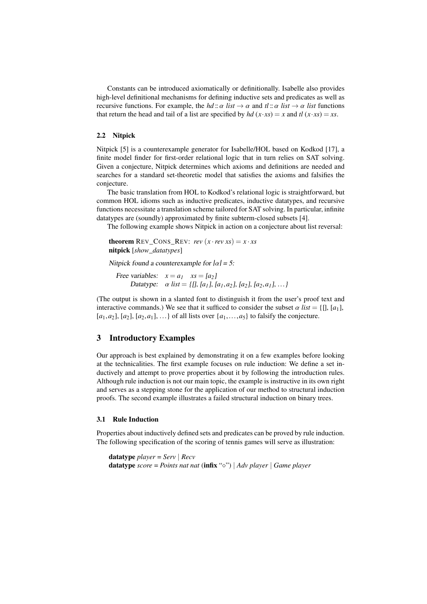Constants can be introduced axiomatically or definitionally. Isabelle also provides high-level definitional mechanisms for defining inductive sets and predicates as well as recursive functions. For example, the  $hd$  ::  $\alpha$  *list*  $\rightarrow \alpha$  and  $tl$  ::  $\alpha$  *list*  $\rightarrow \alpha$  *list* functions that return the head and tail of a list are specified by  $hd(x \cdot xs) = x$  and  $tl(x \cdot xs) = xs$ .

#### 2.2 Nitpick

Nitpick [5] is a counterexample generator for Isabelle/HOL based on Kodkod [17], a finite model finder for first-order relational logic that in turn relies on SAT solving. Given a conjecture, Nitpick determines which axioms and definitions are needed and searches for a standard set-theoretic model that satisfies the axioms and falsifies the conjecture.

The basic translation from HOL to Kodkod's relational logic is straightforward, but common HOL idioms such as inductive predicates, inductive datatypes, and recursive functions necessitate a translation scheme tailored for SAT solving. In particular, infinite datatypes are (soundly) approximated by finite subterm-closed subsets [4].

The following example shows Nitpick in action on a conjecture about list reversal:

**theorem** REV\_CONS\_REV: *rev*  $(x \cdot rev \, xs) = x \cdot xs$ nitpick [*show\_datatypes*]

Nitpick found a counterexample for  $|\alpha| = 5$ :

Free variables:  $x = a_1$   $xs = [a_2]$ Datatype:  $\alpha$  *list* = {[], [a<sub>1</sub>], [a<sub>1</sub>, a<sub>2</sub>], [a<sub>2</sub>], [a<sub>2</sub>, a<sub>1</sub>], ...}

(The output is shown in a slanted font to distinguish it from the user's proof text and interactive commands.) We see that it sufficed to consider the subset  $\alpha$  *list* = {[], [ $a_1$ ],  $[a_1, a_2]$ ,  $[a_2]$ ,  $[a_2, a_1]$ , ...} of all lists over  $\{a_1, \ldots, a_5\}$  to falsify the conjecture.

# 3 Introductory Examples

Our approach is best explained by demonstrating it on a few examples before looking at the technicalities. The first example focuses on rule induction: We define a set inductively and attempt to prove properties about it by following the introduction rules. Although rule induction is not our main topic, the example is instructive in its own right and serves as a stepping stone for the application of our method to structural induction proofs. The second example illustrates a failed structural induction on binary trees.

#### 3.1 Rule Induction

Properties about inductively defined sets and predicates can be proved by rule induction. The following specification of the scoring of tennis games will serve as illustration:

datatype *player* = *Serv* | *Recv* **datatype** *score* = *Points nat nat* (infix " $\diamond$ ") | *Adv player* | *Game player*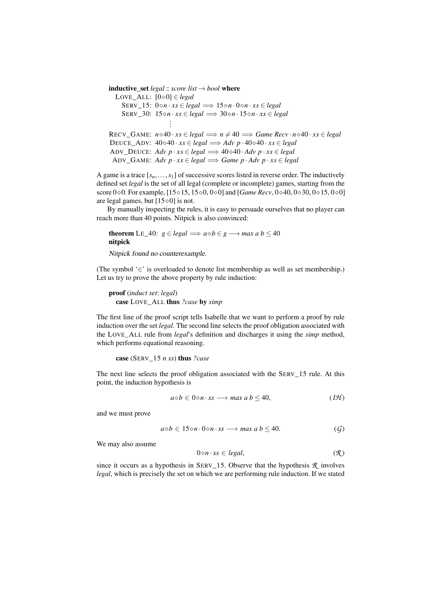```
inductive set legal :: score list \rightarrow bool where
   LOVE ALL: [0 \diamond 0] \in legalSERV_15: 0 \diamond n \cdot xs \in legal \implies 15 \diamond n \cdot 0 \diamond n \cdot xs \in legalSERV_30: 15 \diamond n \cdot xs \in legal \implies 30 \diamond n \cdot 15 \diamond n \cdot xs \in legal.
                                .
RECV_GAME: n \diamond 40 \cdot xs \in legal \implies n \neq 40 \implies Game Recv \cdot n \diamond 40 \cdot xs \in legalDEUCE_ADV: 40 \triangle 40 \cdot xs \in legal \implies Adv \ p \cdot 40 \triangle 40 \cdot xs \in legalADV_DEUCE: Adv\ p \cdot xs \in legal \implies 40 \diamond 40 \cdot Adv\ p \cdot xs \in legalADV_GAME: Adv\ p \cdot xs \in legal \implies Game\ p \cdot Adv\ p \cdot xs \in legal
```
A game is a trace  $[s_n, \ldots, s_1]$  of successive scores listed in reverse order. The inductively defined set *legal* is the set of all legal (complete or incomplete) games, starting from the score  $0 \diamond 0$ . For example,  $[15 \diamond 15, 15 \diamond 0, 0 \diamond 0]$  and  $[Game Recv, 0 \diamond 40, 0 \diamond 30, 0 \diamond 15, 0 \diamond 0]$ are legal games, but  $[15\textdegree0]$  is not.

By manually inspecting the rules, it is easy to persuade ourselves that no player can reach more than 40 points. Nitpick is also convinced:

**theorem** LE 40: *g* ∈ *legal*  $\implies$  *a◇ b* ∈ *g*  $\longrightarrow$  *max a b* ≤ 40 nitpick

Nitpick found no counterexample.

(The symbol '∈' is overloaded to denote list membership as well as set membership.) Let us try to prove the above property by rule induction:

proof (*induct set*: *legal*) case LOVE\_ALL thus *?case* by *simp*

The first line of the proof script tells Isabelle that we want to perform a proof by rule induction over the set *legal*. The second line selects the proof obligation associated with the LOVE\_ALL rule from *legal*'s definition and discharges it using the *simp* method, which performs equational reasoning.

```
case (SERV_15 n xs) thus ?case
```
The next line selects the proof obligation associated with the SERV\_15 rule. At this point, the induction hypothesis is

$$
a \diamond b \in 0 \diamond n \cdot xs \longrightarrow \max a b \le 40, \tag{19f}
$$

and we must prove

$$
a \diamond b \in 15 \diamond n \cdot 0 \diamond n \cdot xs \longrightarrow \max a b \le 40. \tag{G}
$$

We may also assume

$$
0 \diamond n \cdot xs \in legal,
$$
 (R)

since it occurs as a hypothesis in SERV\_15. Observe that the hypothesis *R* involves *legal*, which is precisely the set on which we are performing rule induction. If we stated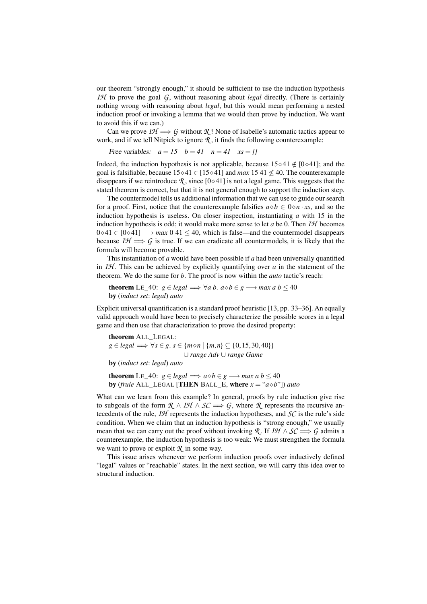our theorem "strongly enough," it should be sufficient to use the induction hypothesis *IH* to prove the goal *G*, without reasoning about *legal* directly. (There is certainly nothing wrong with reasoning about *legal*, but this would mean performing a nested induction proof or invoking a lemma that we would then prove by induction. We want to avoid this if we can.)

Can we prove  $I \mathcal{H} \Longrightarrow G$  without  $\mathcal{R}$ ? None of Isabelle's automatic tactics appear to work, and if we tell Nitpick to ignore  $\mathcal{R}$ , it finds the following counterexample:

Free variables:  $a = 15$   $b = 41$   $n = 41$   $xs = 11$ 

Indeed, the induction hypothesis is not applicable, because  $15\circ 41 \notin [0\circ 41]$ ; and the goal is falsifiable, because  $15 \diamond 41 \in [15 \diamond 41]$  and  $max 15 41 \nleq 40$ . The counterexample disappears if we reintroduce  $\mathcal{R}_1$ , since [0 $\diamond$ 41] is not a legal game. This suggests that the stated theorem is correct, but that it is not general enough to support the induction step.

The countermodel tells us additional information that we can use to guide our search for a proof. First, notice that the counterexample falsifies  $a \diamond b \in 0 \diamond n \cdot xs$ , and so the induction hypothesis is useless. On closer inspection, instantiating *a* with 15 in the induction hypothesis is odd; it would make more sense to let *a* be 0. Then *IH* becomes  $0 \diamond 41 \in [0 \diamond 41] \longrightarrow max \space 0 \space 41 \leq 40$ , which is false—and the countermodel disappears because  $I\mathcal{H} \Longrightarrow G$  is true. If we can eradicate all countermodels, it is likely that the formula will become provable.

This instantiation of *a* would have been possible if *a* had been universally quantified in  $I\mathcal{H}$ . This can be achieved by explicitly quantifying over *a* in the statement of the theorem. We do the same for *b*. The proof is now within the *auto* tactic's reach:

**theorem** LE 40: *g* ∈ *legal*  $\implies \forall a \ b$ .  $a \diamond b \in g \longrightarrow max \ a \ b \leq 40$ by (*induct set*: *legal*) *auto*

Explicit universal quantification is a standard proof heuristic [13, pp. 33–36]. An equally valid approach would have been to precisely characterize the possible scores in a legal game and then use that characterization to prove the desired property:

theorem ALL\_LEGAL:  $g \in legal \Longrightarrow \forall s \in g$ .  $s \in \{m \diamond n \mid \{m,n\} \subseteq \{0,15,30,40\}\}\$ ∪ *range Adv* ∪ *range Game* by (*induct set*: *legal*) *auto*

**theorem** LE\_40: *g* ∈ *legal*  $\implies$  *a*◇*b* ∈ *g*  $\longrightarrow$  *max a b* ≤ 40 by (*frule* ALL\_LEGAL [THEN BALL\_E, where  $x = "a\diamond b"$ ]) *auto* 

What can we learn from this example? In general, proofs by rule induction give rise to subgoals of the form  $\mathcal{R} \wedge \mathcal{I} \mathcal{H} \wedge \mathcal{S} \mathcal{C} \Longrightarrow \mathcal{G}$ , where  $\mathcal{R}$  represents the recursive antecedents of the rule, *IH* represents the induction hypotheses, and *SC* is the rule's side condition. When we claim that an induction hypothesis is "strong enough," we usually mean that we can carry out the proof without invoking  $\mathcal{R}$ . If  $I\mathcal{H} \wedge \mathcal{SC} \Longrightarrow G$  admits a counterexample, the induction hypothesis is too weak: We must strengthen the formula we want to prove or exploit  $\mathcal{R}$  in some way.

This issue arises whenever we perform induction proofs over inductively defined "legal" values or "reachable" states. In the next section, we will carry this idea over to structural induction.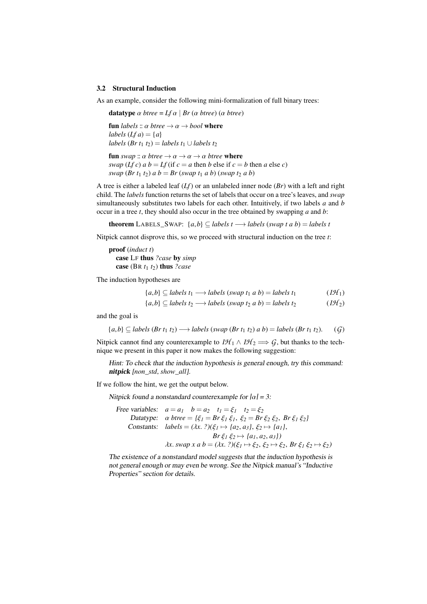#### 3.2 Structural Induction

As an example, consider the following mini-formalization of full binary trees:

**datatype**  $\alpha$  *btree* =  $Lf \alpha \mid Br(\alpha \text{ three}) (\alpha \text{ three})$ fun *labels* ::  $\alpha$  *btree*  $\rightarrow \alpha \rightarrow \text{bool}$  where *labels*  $(Lfa) = \{a\}$ 

*labels* (*Br t*<sub>1</sub> *t*<sub>2</sub>) = *labels t*<sub>1</sub> ∪ *labels t*<sub>2</sub>

**fun** *swap* ::  $\alpha$  *btree*  $\rightarrow \alpha \rightarrow \alpha \rightarrow \alpha$  *btree* where *swap* (*Lf c*)  $a b = Lf$  (if  $c = a$  then  $b$  else if  $c = b$  then  $a$  else  $c$ ) *swap*  $(Br t_1 t_2)$  *a*  $b = Br$  (*swap*  $t_1$  *a b*) (*swap*  $t_2$  *a b*)

A tree is either a labeled leaf (*Lf*) or an unlabeled inner node (*Br*) with a left and right child. The *labels* function returns the set of labels that occur on a tree's leaves, and *swap* simultaneously substitutes two labels for each other. Intuitively, if two labels *a* and *b* occur in a tree *t*, they should also occur in the tree obtained by swapping *a* and *b*:

**theorem** LABELS\_SWAP: { $a,b$ } ⊆ *labels*  $t$  → *labels* (*swap*  $t$   $a$   $b$ ) = *labels*  $t$ 

Nitpick cannot disprove this, so we proceed with structural induction on the tree *t*:

proof (*induct t*) case LF thus *?case* by *simp* case ( $BR t_1 t_2$ ) thus *?case* 

The induction hypotheses are

$$
\{a, b\} \subseteq labels \ t_1 \longrightarrow labels \ (swap \ t_1 \ a \ b) = labels \ t_1 \tag{19f_1}
$$

$$
\{a, b\} \subseteq labels \ t_2 \longrightarrow labels \ (swap \ t_2 \ a \ b) = labels \ t_2 \tag{I\mathcal{H}_2}
$$

and the goal is

 ${a,b}$  ⊆ *labels* (*Br t*<sub>1</sub> *t*<sub>2</sub>) → *labels* (*swap* (*Br t*<sub>1</sub> *t*<sub>2</sub>) *a b*) = *labels* (*Br t*<sub>1</sub> *t*<sub>2</sub>). (*G*)

Nitpick cannot find any counterexample to  $I\mathcal{H}_1 \wedge I\mathcal{H}_2 \Longrightarrow G$ , but thanks to the technique we present in this paper it now makes the following suggestion:

Hint: To check that the induction hypothesis is general enough, try this command: nitpick [*non\_std*, *show\_all*].

If we follow the hint, we get the output below.

Nitpick found a nonstandard counterexample for  $|\alpha| = 3$ :

Free variables: 
$$
a = a_1
$$
  $b = a_2$   $t_1 = \xi_1$   $t_2 = \xi_2$   
\nDatotype:  $\alpha$  *btree* = { $\xi_1$  =  $Br \xi_1 \xi_1$ ,  $\xi_2$  =  $Br \xi_2 \xi_2$ ,  $Br \xi_1 \xi_2$ }  
\nConstants:  $labels = (\lambda x. ?)(\xi_1 \mapsto \{a_2, a_3\}, \xi_2 \mapsto \{a_1\},$   
\n $Br \xi_1 \xi_2 \mapsto \{a_1, a_2, a_3\}$ )  
\n $\lambda x. swap x a b = (\lambda x. ?)(\xi_1 \mapsto \xi_2, \xi_2 \mapsto \xi_2, Br \xi_1 \xi_2 \mapsto \xi_2)$ 

The existence of a nonstandard model suggests that the induction hypothesis is not general enough or may even be wrong. See the Nitpick manual's "Inductive Properties" section for details.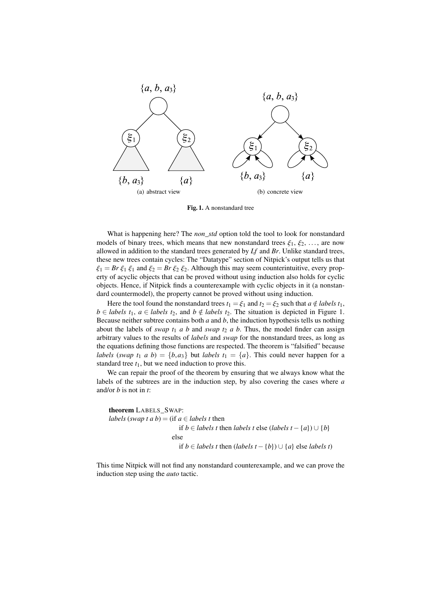

Fig. 1. A nonstandard tree

What is happening here? The *non* std option told the tool to look for nonstandard models of binary trees, which means that new nonstandard trees  $\xi_1, \xi_2, \ldots$ , are now allowed in addition to the standard trees generated by *Lf* and *Br*. Unlike standard trees, these new trees contain cycles: The "Datatype" section of Nitpick's output tells us that  $\xi_1 = Br \xi_1 \xi_1$  and  $\xi_2 = Br \xi_2 \xi_2$ . Although this may seem counterintuitive, every property of acyclic objects that can be proved without using induction also holds for cyclic objects. Hence, if Nitpick finds a counterexample with cyclic objects in it (a nonstandard countermodel), the property cannot be proved without using induction.

Here the tool found the nonstandard trees  $t_1 = \xi_1$  and  $t_2 = \xi_2$  such that  $a \notin labels t_1$ , *b* ∈ *labels*  $t_1$ ,  $a \in$  *labels*  $t_2$ , and  $b \notin$  *labels*  $t_2$ . The situation is depicted in Figure 1. Because neither subtree contains both *a* and *b*, the induction hypothesis tells us nothing about the labels of *swap*  $t_1$  *a b* and *swap*  $t_2$  *a b*. Thus, the model finder can assign arbitrary values to the results of *labels* and *swap* for the nonstandard trees, as long as the equations defining those functions are respected. The theorem is "falsified" because *labels* (*swap*  $t_1$  *a b*) = {*b*,*a*<sub>3</sub>} but *labels*  $t_1 = \{a\}$ . This could never happen for a standard tree  $t_1$ , but we need induction to prove this.

We can repair the proof of the theorem by ensuring that we always know what the labels of the subtrees are in the induction step, by also covering the cases where *a* and/or *b* is not in *t*:

theorem LABELS\_SWAP: *labels* (*swap t a b*) = (if *a*  $\in$  *labels t* then if *b* ∈ *labels t* then *labels t* else (*labels t* −{*a*}) ∪ {*b*} else if *b* ∈ *labels t* then (*labels t* −{*b*}) ∪ {*a*} else *labels t*)

This time Nitpick will not find any nonstandard counterexample, and we can prove the induction step using the *auto* tactic.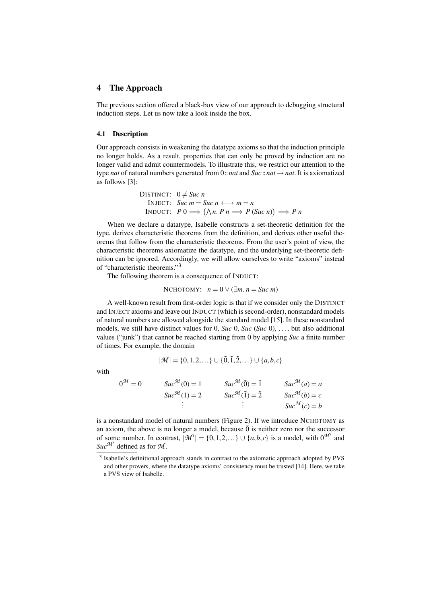## 4 The Approach

The previous section offered a black-box view of our approach to debugging structural induction steps. Let us now take a look inside the box.

#### 4.1 Description

Our approach consists in weakening the datatype axioms so that the induction principle no longer holds. As a result, properties that can only be proved by induction are no longer valid and admit countermodels. To illustrate this, we restrict our attention to the type *nat* of natural numbers generated from 0:*nat* and *Suc*::*nat*  $\rightarrow$  *nat*. It is axiomatized as follows [3]:

**DISTINCT:** 
$$
0 \neq \textit{Suc } n
$$
  
\n**INLECT:**  $\textit{Suc } m = \textit{Suc } n \longleftrightarrow m = n$   
\n**INDUCT:**  $P0 \Longrightarrow (\bigwedge n. P n \Longrightarrow P(\textit{Suc } n)) \Longrightarrow P n$ 

When we declare a datatype, Isabelle constructs a set-theoretic definition for the type, derives characteristic theorems from the definition, and derives other useful theorems that follow from the characteristic theorems. From the user's point of view, the characteristic theorems axiomatize the datatype, and the underlying set-theoretic definition can be ignored. Accordingly, we will allow ourselves to write "axioms" instead of "characteristic theorems."<sup>3</sup>

The following theorem is a consequence of INDUCT:

NCHOTOMY:  $n = 0 \vee (\exists m. n = \text{Suc } m)$ 

A well-known result from first-order logic is that if we consider only the DISTINCT and INJECT axioms and leave out INDUCT (which is second-order), nonstandard models of natural numbers are allowed alongside the standard model [15]. In these nonstandard models, we still have distinct values for 0, *Suc* 0, *Suc* (*Suc* 0), . . . , but also additional values ("junk") that cannot be reached starting from 0 by applying *Suc* a finite number of times. For example, the domain

$$
|\mathcal{M}| = \{0, 1, 2, \ldots\} \cup \{\tilde{0}, \tilde{1}, \tilde{2}, \ldots\} \cup \{a, b, c\}
$$

with

| $0^{\mathcal{M}}=0$ | $Suc^{\mathcal{M}}(0)=1$ | $Suc^{\mathcal{M}}(\tilde{0})=\tilde{1}$ | $Suc^{\mathcal{M}}(a)=a$   |
|---------------------|--------------------------|------------------------------------------|----------------------------|
|                     | $Suc^{\mathcal{M}}(1)=2$ | $Suc^{\mathcal{M}}(\tilde{1})=\tilde{2}$ | $Suc^{\mathcal{M}}(b)=c$   |
|                     |                          |                                          | $Suc^{\mathcal{M}}(c) = b$ |

is a nonstandard model of natural numbers (Figure 2). If we introduce NCHOTOMY as an axiom, the above is no longer a model, because  $\tilde{0}$  is neither zero nor the successor of some number. In contrast,  $|\mathcal{M}'| = \{0, 1, 2, ...\} \cup \{a, b, c\}$  is a model, with  $0^{\mathcal{M}'}$  and  $S_{\mathcal{U}c}^{\mathcal{M}'}$  defined as for  $\mathcal{M}$  $Suc^{\mathcal{M}'}$  defined as for  $\mathcal{M}$ .

<sup>&</sup>lt;sup>3</sup> Isabelle's definitional approach stands in contrast to the axiomatic approach adopted by PVS and other provers, where the datatype axioms' consistency must be trusted [14]. Here, we take a PVS view of Isabelle.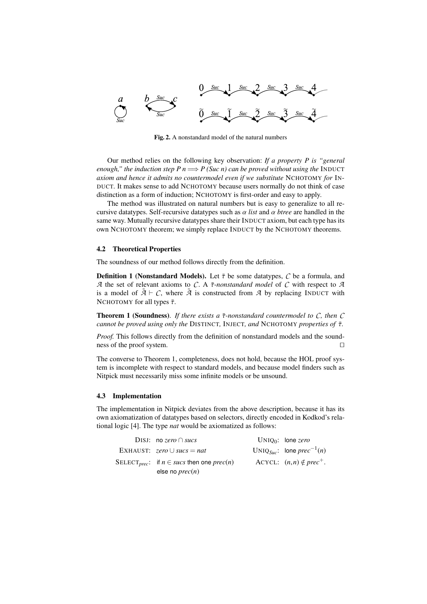

Fig. 2. A nonstandard model of the natural numbers

Our method relies on the following key observation: *If a property P is "general enough," the induction step*  $P n \Longrightarrow P$  *(Suc n) can be proved without using the INDUCT axiom and hence it admits no countermodel even if we substitute* NCHOTOMY *for* IN-DUCT*.* It makes sense to add NCHOTOMY because users normally do not think of case distinction as a form of induction; NCHOTOMY is first-order and easy to apply.

The method was illustrated on natural numbers but is easy to generalize to all recursive datatypes. Self-recursive datatypes such as  $\alpha$  *list* and  $\alpha$  *btree* are handled in the same way. Mutually recursive datatypes share their INDUCT axiom, but each type has its own NCHOTOMY theorem; we simply replace INDUCT by the NCHOTOMY theorems.

#### 4.2 Theoretical Properties

The soundness of our method follows directly from the definition.

**Definition 1 (Nonstandard Models).** Let  $\bar{\tau}$  be some datatypes,  $\bar{C}$  be a formula, and *A* the set of relevant axioms to *C*. A  $\bar{\tau}$ -*nonstandard model* of *C* with respect to *A* is a model of  $\tilde{A} \vdash C$ , where  $\tilde{A}$  is constructed from  $A$  by replacing INDUCT with NCHOTOMY for all types  $\bar{\tau}$ .

**Theorem 1 (Soundness).** If there exists a  $\bar{\tau}$ -nonstandard countermodel to C, then C *cannot be proved using only the DISTINCT, INJECT, and NCHOTOMY properties of*  $\bar{\tau}$ *.* 

*Proof.* This follows directly from the definition of nonstandard models and the soundness of the proof system.  $\Box$ 

The converse to Theorem 1, completeness, does not hold, because the HOL proof system is incomplete with respect to standard models, and because model finders such as Nitpick must necessarily miss some infinite models or be unsound.

#### 4.3 Implementation

The implementation in Nitpick deviates from the above description, because it has its own axiomatization of datatypes based on selectors, directly encoded in Kodkod's relational logic [4]. The type *nat* would be axiomatized as follows:

| DISJ: no <i>zero</i> $\cap$ <i>sucs</i>                   | $UNIO0$ : lone <i>zero</i>                |
|-----------------------------------------------------------|-------------------------------------------|
| EXHAUST: $zero \cup sucs = nat$                           | UNIQ <sub>Suc</sub> : lone $prec^{-1}(n)$ |
| SELECT <sub>prec</sub> : if $n \in sucs$ then one prec(n) | ACYCL: $(n, n) \notin prec^+$ .           |
| else no $prec(n)$                                         |                                           |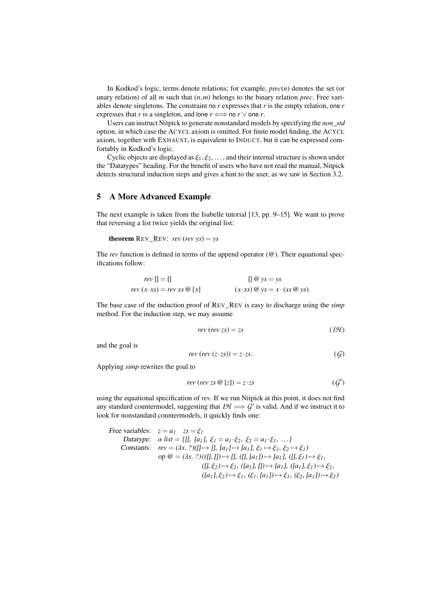In Kodkod's logic, terms denote relations; for example, *prec*(*n*) denotes the set (or unary relation) of all *<sup>m</sup>* such that (*n*,*m*) belongs to the binary relation *prec*. Free variables denote singletons. The constraint no *r* expresses that *r* is the empty relation, one *r* expresses that *r* is a singleton, and lone  $r \iff$  no  $r \lor$  one *r*.

Users can instruct Nitpick to generate nonstandard models by specifying the *non\_std* option, in which case the ACYCL axiom is omitted. For finite model finding, the ACYCL axiom, together with EXHAUST, is equivalent to INDUCT, but it can be expressed comfortably in Kodkod's logic.

Cyclic objects are displayed as  $\xi_1, \xi_2, \ldots$ , and their internal structure is shown under the "Datatypes" heading. For the benefit of users who have not read the manual, Nitpick detects structural induction steps and gives a hint to the user, as we saw in Section 3.2.

## 5 A More Advanced Example

The next example is taken from the Isabelle tutorial [13, pp. 9–15]. We want to prove that reversing a list twice yields the original list:

**theorem**  $REV$ <sub>*REV*: *rev* (*rev*  $ys$ ) =  $ys$ </sub>

The *rev* function is defined in terms of the append operator ( $@$ ). Their equational specifications follow:

$$
rev [] = []
$$
  
\n
$$
rev (x \cdot xs) = rev xs @ [x]
$$
  
\n
$$
(x \cdot xs) @ ys = x \cdot (xs @ ys).
$$

The base case of the induction proof of REV\_REV is easy to discharge using the *simp* method. For the induction step, we may assume

$$
rev\ (rev\ zs) = zs \tag{IH}
$$

and the goal is

$$
rev\ (rev\ (z \cdot z s)) = z \cdot z s. \tag{G}
$$

Applying *simp* rewrites the goal to

$$
rev\ (rev\ zs\ @\ [z]) = z \cdot zs \tag{G'}
$$

using the equational specification of *rev*. If we run Nitpick at this point, it does not find any standard countermodel, suggesting that  $I \mathcal{H} \Longrightarrow \mathcal{G}'$  is valid. And if we instruct it to look for nonstandard countermodels, it quickly finds one:

Free variables:  $z = a_1$   $zs = \xi_1$ Datatype:  $\alpha$  *list* = {[], [a<sub>1</sub>],  $\xi_1 = a_1 \cdot \xi_2$ ,  $\xi_2 = a_1 \cdot \xi_1$ , ...} Constants:  $rev = (\lambda x. ?)([] \rightarrow []$ ,  $[a_1] \rightarrow [a_1], \xi_1 \rightarrow \xi_1, \xi_2 \rightarrow \xi_1)$ op  $\mathcal{Q} = (\lambda x. ?)((\iint, \iint) \mapsto \iint, (\iint, [a_1]) \mapsto [a_1], (\iint, \xi_1) \mapsto \xi_1$ ,  $([1, \xi_2) \mapsto \xi_2, ([a_1], [1]) \mapsto [a_1], ([a_1], \xi_1) \mapsto \xi_2,$  $([a_1], \xi_2) \mapsto \xi_1, (\xi_1, [a_1]) \mapsto \xi_1, (\xi_2, [a_1]) \mapsto \xi_2$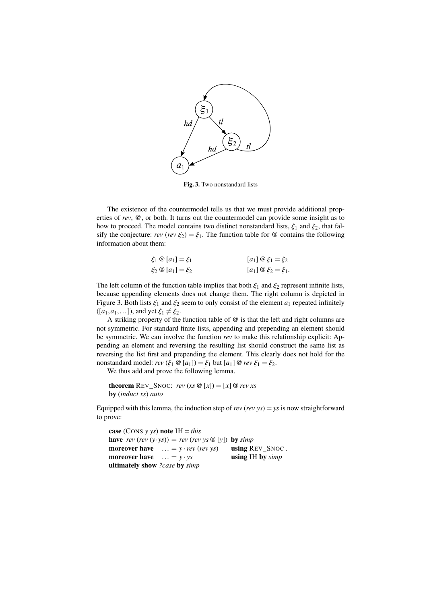

Fig. 3. Two nonstandard lists

The existence of the countermodel tells us that we must provide additional properties of *rev*, @, or both. It turns out the countermodel can provide some insight as to how to proceed. The model contains two distinct nonstandard lists,  $\xi_1$  and  $\xi_2$ , that falsify the conjecture: *rev* (*rev*  $\xi_2$ ) =  $\xi_1$ . The function table for @ contains the following information about them:

| $\xi_1 \otimes [a_1] = \xi_1$ | [ $a_1$ ] $\omega \xi_1 = \xi_2$ |
|-------------------------------|----------------------------------|
| $\xi_2 \otimes [a_1] = \xi_2$ | $[a_1] \otimes \xi_2 = \xi_1.$   |

The left column of the function table implies that both  $\xi_1$  and  $\xi_2$  represent infinite lists, because appending elements does not change them. The right column is depicted in Figure 3. Both lists  $\xi_1$  and  $\xi_2$  seem to only consist of the element  $a_1$  repeated infinitely  $([a_1, a_1, \dots])$ , and yet  $\xi_1 \neq \xi_2$ .

A striking property of the function table of  $\omega$  is that the left and right columns are not symmetric. For standard finite lists, appending and prepending an element should be symmetric. We can involve the function *rev* to make this relationship explicit: Appending an element and reversing the resulting list should construct the same list as reversing the list first and prepending the element. This clearly does not hold for the nonstandard model: *rev* ( $\xi_1 \otimes [a_1]$ ) =  $\xi_1$  but  $[a_1] \otimes rev \xi_1 = \xi_2$ .

We thus add and prove the following lemma.

**theorem** REV\_SNOC: *rev* (*xs*  $@$  [*x*]) = [*x*]  $@$  *rev xs* by (*induct xs*) *auto*

Equipped with this lemma, the induction step of *rev* (*rev*  $ys$ ) =  $ys$  is now straightforward to prove:

case (CONS  $y$   $ys$ ) note IH = *this* have *rev* (*rev*  $(y \cdot ys)$ ) = *rev* (*rev*  $ys \circledcirc [y]$ ) by *simp* **moreover have**  $... = y \cdot rev$  (*rev ys*) **using**  $REV\_SNOC$ .<br>**moreover have**  $- v \cdot vs$  **using** IH by simp moreover have  $... = y \cdot y s$  using IH by *simp*<br>ultimately show  $2case$  by *simp* ultimately show *?case* by *simp*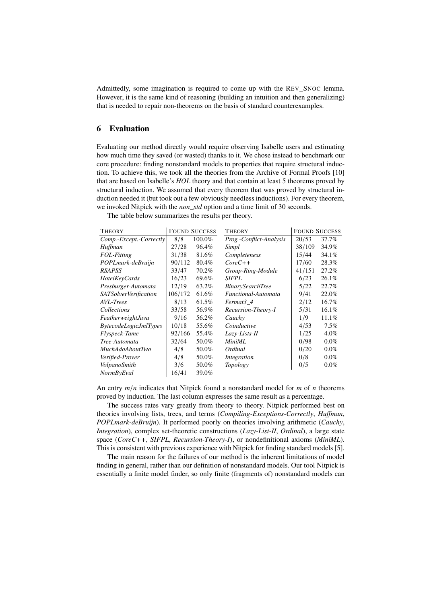Admittedly, some imagination is required to come up with the REV\_SNOC lemma. However, it is the same kind of reasoning (building an intuition and then generalizing) that is needed to repair non-theorems on the basis of standard counterexamples.

# 6 Evaluation

Evaluating our method directly would require observing Isabelle users and estimating how much time they saved (or wasted) thanks to it. We chose instead to benchmark our core procedure: finding nonstandard models to properties that require structural induction. To achieve this, we took all the theories from the Archive of Formal Proofs [10] that are based on Isabelle's *HOL* theory and that contain at least 5 theorems proved by structural induction. We assumed that every theorem that was proved by structural induction needed it (but took out a few obviously needless inductions). For every theorem, we invoked Nitpick with the *non\_std* option and a time limit of 30 seconds.

The table below summarizes the results per theory.

| THEORY                       | <b>FOUND SUCCESS</b> |        | <b>THEORY</b>           |        | <b>FOUND SUCCESS</b> |  |
|------------------------------|----------------------|--------|-------------------------|--------|----------------------|--|
| Comp.-Except.-Correctly      | 8/8                  | 100.0% | Prog.-Conflict-Analysis | 20/53  | 37.7%                |  |
| Huffman                      | 27/28                | 96.4%  | Simpl                   | 38/109 | 34.9%                |  |
| FOL-Fitting                  | 31/38                | 81.6%  | Completeness            | 15/44  | 34.1%                |  |
| POPLmark-deBruijn            | 90/112               | 80.4%  | $CoreC++$               | 17/60  | 28.3%                |  |
| RSAPSS                       | 33/47                | 70.2%  | Group-Ring-Module       | 41/151 | 27.2%                |  |
| <b>HotelKeyCards</b>         | 16/23                | 69.6%  | <b>SIFPL</b>            | 6/23   | $26.1\%$             |  |
| Presburger-Automata          | 12/19                | 63.2%  | <i>BinarySearchTree</i> | 5/22   | 22.7%                |  |
| <b>SATSolverVerification</b> | 106/172              | 61.6%  | Functional-Automata     | 9/41   | 22.0%                |  |
| AVL-Trees                    | 8/13                 | 61.5%  | Fermat3 4               | 2/12   | 16.7%                |  |
| Collections                  | 33/58                | 56.9%  | Recursion-Theory-I      | 5/31   | 16.1%                |  |
| <b>FeatherweightJava</b>     | 9/16                 | 56.2%  | Cauchy                  | 1/9    | 11.1%                |  |
| <b>BytecodeLogicJmlTypes</b> | 10/18                | 55.6%  | Coinductive             | 4/53   | 7.5%                 |  |
| Flyspeck-Tame                | 92/166               | 55.4%  | Lazy-Lists-II           | 1/25   | $4.0\%$              |  |
| Tree-Automata                | 32/64                | 50.0%  | MiniML                  | 0/98   | $0.0\%$              |  |
| MuchAdoAboutTwo              | 4/8                  | 50.0%  | Ordinal                 | 0/20   | $0.0\%$              |  |
| Verified-Prover              | 4/8                  | 50.0%  | Integration             | 0/8    | $0.0\%$              |  |
| VolpanoSmith                 | 3/6                  | 50.0%  | Topology                | 0/5    | $0.0\%$              |  |
| NormByEval                   | 16/41                | 39.0%  |                         |        |                      |  |
|                              |                      |        |                         |        |                      |  |

An entry *<sup>m</sup>*/*<sup>n</sup>* indicates that Nitpick found a nonstandard model for *<sup>m</sup>* of *<sup>n</sup>* theorems proved by induction. The last column expresses the same result as a percentage.

The success rates vary greatly from theory to theory. Nitpick performed best on theories involving lists, trees, and terms (*Compiling-Exceptions-Correctly*, *Huffman*, *POPLmark-deBruijn*). It performed poorly on theories involving arithmetic (*Cauchy*, *Integration*), complex set-theoretic constructions (*Lazy-List-II*, *Ordinal*), a large state space (*CoreC++*, *SIFPL*, *Recursion-Theory-I*), or nondefinitional axioms (*MiniML*). This is consistent with previous experience with Nitpick for finding standard models [5].

The main reason for the failures of our method is the inherent limitations of model finding in general, rather than our definition of nonstandard models. Our tool Nitpick is essentially a finite model finder, so only finite (fragments of) nonstandard models can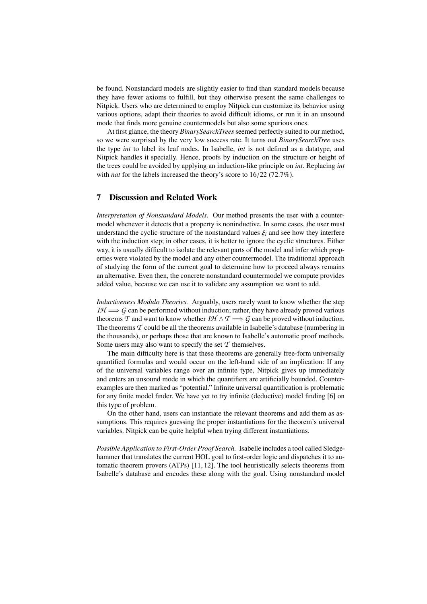be found. Nonstandard models are slightly easier to find than standard models because they have fewer axioms to fulfill, but they otherwise present the same challenges to Nitpick. Users who are determined to employ Nitpick can customize its behavior using various options, adapt their theories to avoid difficult idioms, or run it in an unsound mode that finds more genuine countermodels but also some spurious ones.

At first glance, the theory *BinarySearchTrees*seemed perfectly suited to our method, so we were surprised by the very low success rate. It turns out *BinarySearchTree* uses the type *int* to label its leaf nodes. In Isabelle, *int* is not defined as a datatype, and Nitpick handles it specially. Hence, proofs by induction on the structure or height of the trees could be avoided by applying an induction-like principle on *int*. Replacing *int* with *nat* for the labels increased the theory's score to 16/22 (72.7%).

### 7 Discussion and Related Work

*Interpretation of Nonstandard Models.* Our method presents the user with a countermodel whenever it detects that a property is noninductive. In some cases, the user must understand the cyclic structure of the nonstandard values  $\xi_i$  and see how they interfere with the induction step; in other cases, it is better to ignore the cyclic structures. Either way, it is usually difficult to isolate the relevant parts of the model and infer which properties were violated by the model and any other countermodel. The traditional approach of studying the form of the current goal to determine how to proceed always remains an alternative. Even then, the concrete nonstandard countermodel we compute provides added value, because we can use it to validate any assumption we want to add.

*Inductiveness Modulo Theories.* Arguably, users rarely want to know whether the step *IH*  $\Rightarrow$  *G* can be performed without induction; rather, they have already proved various theorems  $\mathcal T$  and want to know whether  $I\mathcal H \wedge \mathcal T \Longrightarrow \mathcal G$  can be proved without induction. The theorems *T* could be all the theorems available in Isabelle's database (numbering in the thousands), or perhaps those that are known to Isabelle's automatic proof methods. Some users may also want to specify the set *T* themselves.

The main difficulty here is that these theorems are generally free-form universally quantified formulas and would occur on the left-hand side of an implication: If any of the universal variables range over an infinite type, Nitpick gives up immediately and enters an unsound mode in which the quantifiers are artificially bounded. Counterexamples are then marked as "potential." Infinite universal quantification is problematic for any finite model finder. We have yet to try infinite (deductive) model finding [6] on this type of problem.

On the other hand, users can instantiate the relevant theorems and add them as assumptions. This requires guessing the proper instantiations for the theorem's universal variables. Nitpick can be quite helpful when trying different instantiations.

*Possible Application to First-Order Proof Search.* Isabelle includes a tool called Sledgehammer that translates the current HOL goal to first-order logic and dispatches it to automatic theorem provers (ATPs) [11, 12]. The tool heuristically selects theorems from Isabelle's database and encodes these along with the goal. Using nonstandard model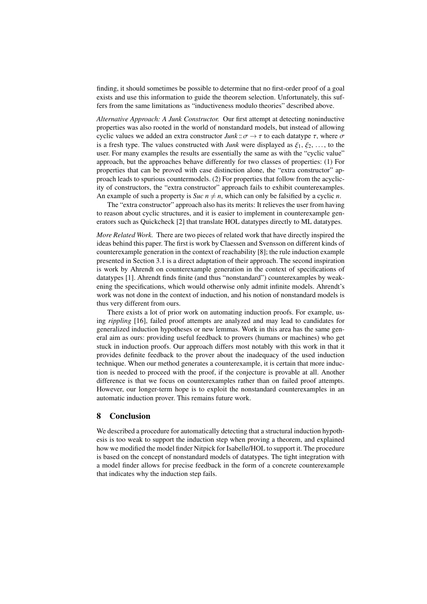finding, it should sometimes be possible to determine that no first-order proof of a goal exists and use this information to guide the theorem selection. Unfortunately, this suffers from the same limitations as "inductiveness modulo theories" described above.

*Alternative Approach: A Junk Constructor.* Our first attempt at detecting noninductive properties was also rooted in the world of nonstandard models, but instead of allowing cyclic values we added an extra constructor  $Junk :: \sigma \rightarrow \tau$  to each datatype  $\tau$ , where  $\sigma$ is a fresh type. The values constructed with *Junk* were displayed as  $\xi_1, \xi_2, \ldots$ , to the user. For many examples the results are essentially the same as with the "cyclic value" approach, but the approaches behave differently for two classes of properties: (1) For properties that can be proved with case distinction alone, the "extra constructor" approach leads to spurious countermodels. (2) For properties that follow from the acyclicity of constructors, the "extra constructor" approach fails to exhibit counterexamples. An example of such a property is *Suc*  $n \neq n$ , which can only be falsified by a cyclic *n*.

The "extra constructor" approach also has its merits: It relieves the user from having to reason about cyclic structures, and it is easier to implement in counterexample generators such as Quickcheck [2] that translate HOL datatypes directly to ML datatypes.

*More Related Work.* There are two pieces of related work that have directly inspired the ideas behind this paper. The first is work by Claessen and Svensson on different kinds of counterexample generation in the context of reachability [8]; the rule induction example presented in Section 3.1 is a direct adaptation of their approach. The second inspiration is work by Ahrendt on counterexample generation in the context of specifications of datatypes [1]. Ahrendt finds finite (and thus "nonstandard") counterexamples by weakening the specifications, which would otherwise only admit infinite models. Ahrendt's work was not done in the context of induction, and his notion of nonstandard models is thus very different from ours.

There exists a lot of prior work on automating induction proofs. For example, using *rippling* [16], failed proof attempts are analyzed and may lead to candidates for generalized induction hypotheses or new lemmas. Work in this area has the same general aim as ours: providing useful feedback to provers (humans or machines) who get stuck in induction proofs. Our approach differs most notably with this work in that it provides definite feedback to the prover about the inadequacy of the used induction technique. When our method generates a counterexample, it is certain that more induction is needed to proceed with the proof, if the conjecture is provable at all. Another difference is that we focus on counterexamples rather than on failed proof attempts. However, our longer-term hope is to exploit the nonstandard counterexamples in an automatic induction prover. This remains future work.

#### 8 Conclusion

We described a procedure for automatically detecting that a structural induction hypothesis is too weak to support the induction step when proving a theorem, and explained how we modified the model finder Nitpick for Isabelle/HOL to support it. The procedure is based on the concept of nonstandard models of datatypes. The tight integration with a model finder allows for precise feedback in the form of a concrete counterexample that indicates why the induction step fails.